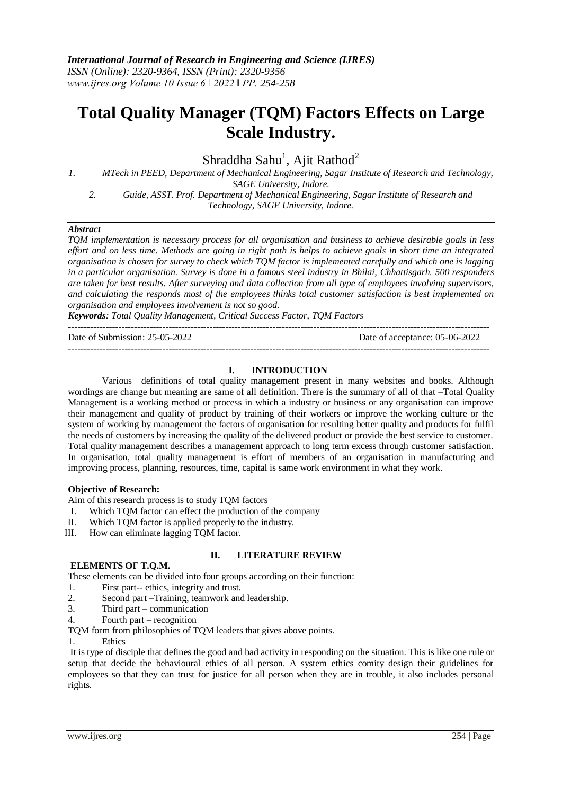# **Total Quality Manager (TQM) Factors Effects on Large Scale Industry.**

Shraddha Sahu<sup>1</sup>, Ajit Rathod<sup>2</sup>

*1. MTech in PEED, Department of Mechanical Engineering, Sagar Institute of Research and Technology, SAGE University, Indore.*

*2. Guide, ASST. Prof. Department of Mechanical Engineering, Sagar Institute of Research and Technology, SAGE University, Indore.*

#### *Abstract*

*TQM implementation is necessary process for all organisation and business to achieve desirable goals in less effort and on less time. Methods are going in right path is helps to achieve goals in short time an integrated organisation is chosen for survey to check which TQM factor is implemented carefully and which one is lagging in a particular organisation. Survey is done in a famous steel industry in Bhilai, Chhattisgarh. 500 responders are taken for best results. After surveying and data collection from all type of employees involving supervisors, and calculating the responds most of the employees thinks total customer satisfaction is best implemented on organisation and employees involvement is not so good.*

*Keywords: Total Quality Management, Critical Success Factor, TQM Factors* --------------------------------------------------------------------------------------------------------------------------------------

Date of Submission: 25-05-2022 Date of acceptance: 05-06-2022

--------------------------------------------------------------------------------------------------------------------------------------

## **I. INTRODUCTION**

Various definitions of total quality management present in many websites and books. Although wordings are change but meaning are same of all definition. There is the summary of all of that –Total Quality Management is a working method or process in which a industry or business or any organisation can improve their management and quality of product by training of their workers or improve the working culture or the system of working by management the factors of organisation for resulting better quality and products for fulfil the needs of customers by increasing the quality of the delivered product or provide the best service to customer. Total quality management describes a management approach to long term excess through customer satisfaction. In organisation, total quality management is effort of members of an organisation in manufacturing and improving process, planning, resources, time, capital is same work environment in what they work.

### **Objective of Research:**

Aim of this research process is to study TQM factors

- I. Which TQM factor can effect the production of the company
- II. Which TQM factor is applied properly to the industry.
- III. How can eliminate lagging TQM factor.

#### **II. LITERATURE REVIEW**

## **ELEMENTS OF T.Q.M.**

These elements can be divided into four groups according on their function:

- 1. First part-- ethics, integrity and trust.
- 2. Second part –Training, teamwork and leadership.
- 3. Third part communication
- 4. Fourth part recognition

TQM form from philosophies of TQM leaders that gives above points.

1. Ethics

It is type of disciple that defines the good and bad activity in responding on the situation. This is like one rule or setup that decide the behavioural ethics of all person. A system ethics comity design their guidelines for employees so that they can trust for justice for all person when they are in trouble, it also includes personal rights.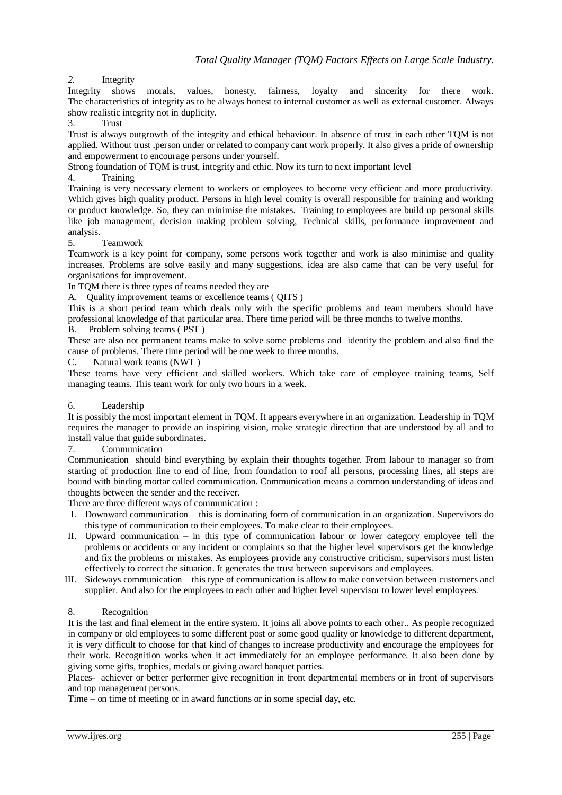# *2.* Integrity

Integrity shows morals, values, honesty, fairness, loyalty and sincerity for there work. The characteristics of integrity as to be always honest to internal customer as well as external customer. Always show realistic integrity not in duplicity.

## 3. Trust

Trust is always outgrowth of the integrity and ethical behaviour. In absence of trust in each other TQM is not applied. Without trust ,person under or related to company cant work properly. It also gives a pride of ownership and empowerment to encourage persons under yourself.

Strong foundation of TQM is trust, integrity and ethic. Now its turn to next important level

## 4. Training

Training is very necessary element to workers or employees to become very efficient and more productivity. Which gives high quality product. Persons in high level comity is overall responsible for training and working or product knowledge. So, they can minimise the mistakes. Training to employees are build up personal skills like job management, decision making problem solving, Technical skills, performance improvement and analysis.

## 5. Teamwork

Teamwork is a key point for company, some persons work together and work is also minimise and quality increases. Problems are solve easily and many suggestions, idea are also came that can be very useful for organisations for improvement.

In TQM there is three types of teams needed they are –

A. Ouality improvement teams or excellence teams (OITS)

This is a short period team which deals only with the specific problems and team members should have professional knowledge of that particular area. There time period will be three months to twelve months.

B. Problem solving teams ( PST )

These are also not permanent teams make to solve some problems and identity the problem and also find the cause of problems. There time period will be one week to three months.

C. Natural work teams (NWT )

These teams have very efficient and skilled workers. Which take care of employee training teams, Self managing teams. This team work for only two hours in a week.

# 6. Leadership

It is possibly the most important element in TQM. It appears everywhere in an organization. Leadership in TQM requires the manager to provide an inspiring vision, make strategic direction that are understood by all and to install value that guide subordinates.

## 7. Communication

Communication should bind everything by explain their thoughts together. From labour to manager so from starting of production line to end of line, from foundation to roof all persons, processing lines, all steps are bound with binding mortar called communication. Communication means a common understanding of ideas and thoughts between the sender and the receiver.

There are three different ways of communication :

- I. Downward communication this is dominating form of communication in an organization. Supervisors do this type of communication to their employees. To make clear to their employees.
- II. Upward communication in this type of communication labour or lower category employee tell the problems or accidents or any incident or complaints so that the higher level supervisors get the knowledge and fix the problems or mistakes. As employees provide any constructive criticism, supervisors must listen effectively to correct the situation. It generates the trust between supervisors and employees.
- III. Sideways communication this type of communication is allow to make conversion between customers and supplier. And also for the employees to each other and higher level supervisor to lower level employees.

# 8. Recognition

It is the last and final element in the entire system. It joins all above points to each other.. As people recognized in company or old employees to some different post or some good quality or knowledge to different department, it is very difficult to choose for that kind of changes to increase productivity and encourage the employees for their work. Recognition works when it act immediately for an employee performance. It also been done by giving some gifts, trophies, medals or giving award banquet parties.

Places- achiever or better performer give recognition in front departmental members or in front of supervisors and top management persons.

Time – on time of meeting or in award functions or in some special day, etc.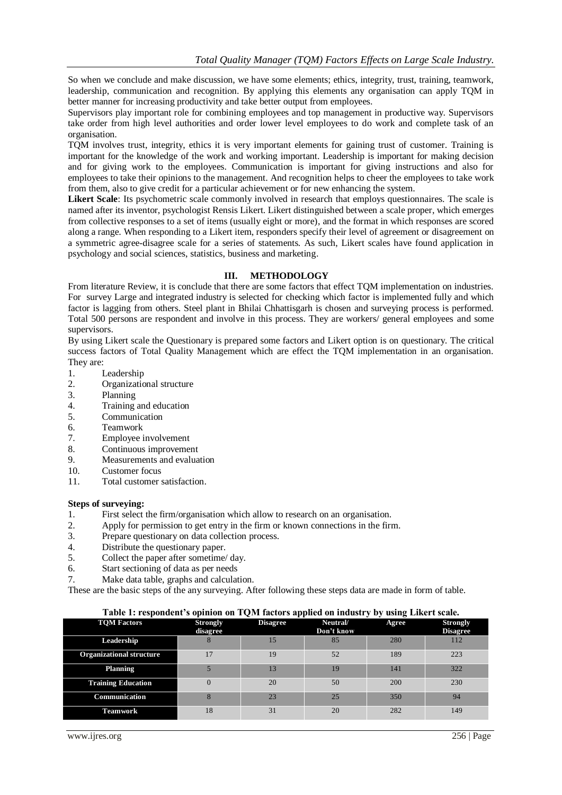So when we conclude and make discussion, we have some elements; ethics, integrity, trust, training, teamwork, leadership, communication and recognition. By applying this elements any organisation can apply TQM in better manner for increasing productivity and take better output from employees.

Supervisors play important role for combining employees and top management in productive way. Supervisors take order from high level authorities and order lower level employees to do work and complete task of an organisation.

TQM involves trust, integrity, ethics it is very important elements for gaining trust of customer. Training is important for the knowledge of the work and working important. Leadership is important for making decision and for giving work to the employees. Communication is important for giving instructions and also for employees to take their opinions to the management. And recognition helps to cheer the employees to take work from them, also to give credit for a particular achievement or for new enhancing the system.

**Likert Scale**: Its psychometric scale commonly involved in research that employs questionnaires. The scale is named after its inventor, psychologist Rensis Likert. Likert distinguished between a scale proper, which emerges from collective responses to a set of items (usually eight or more), and the format in which responses are scored along a range. When responding to a Likert item, responders specify their level of agreement or disagreement on a symmetric agree-disagree scale for a series of statements. As such, Likert scales have found application in psychology and social sciences, statistics, business and marketing.

#### **III. METHODOLOGY**

From literature Review, it is conclude that there are some factors that effect TQM implementation on industries. For survey Large and integrated industry is selected for checking which factor is implemented fully and which factor is lagging from others. Steel plant in Bhilai Chhattisgarh is chosen and surveying process is performed. Total 500 persons are respondent and involve in this process. They are workers/ general employees and some supervisors.

By using Likert scale the Questionary is prepared some factors and Likert option is on questionary. The critical success factors of Total Quality Management which are effect the TQM implementation in an organisation. They are:

- 1. Leadership
- 2. Organizational structure
- 3. Planning
- 4. Training and education
- 5. Communication
- 6. Teamwork<br>7. Employee i
- 7. Employee involvement
- 8. Continuous improvement
- 9. Measurements and evaluation
- 10. Customer focus
- 11. Total customer satisfaction.

#### **Steps of surveying:**

- 1. First select the firm/organisation which allow to research on an organisation.
- 2. Apply for permission to get entry in the firm or known connections in the firm.
- 3. Prepare questionary on data collection process.
- 4. Distribute the questionary paper.
- 5. Collect the paper after sometime/ day.
- 6. Start sectioning of data as per needs
- 7. Make data table, graphs and calculation.

These are the basic steps of the any surveying. After following these steps data are made in form of table.

| Table 1: respondent's opinion on TQM factors applied on industry by using Likert scale. |                             |                 |                              |       |                                    |  |
|-----------------------------------------------------------------------------------------|-----------------------------|-----------------|------------------------------|-------|------------------------------------|--|
| <b>TOM Factors</b>                                                                      | <b>Strongly</b><br>disagree | <b>Disagree</b> | <b>Neutral</b><br>Don't know | Agree | <b>Strongly</b><br><b>Disagree</b> |  |
| Leadership                                                                              |                             | 15              | 85                           | 280   | 112                                |  |
| <b>Organizational structure</b>                                                         | 17                          | 19              | 52                           | 189   | 223                                |  |
| <b>Planning</b>                                                                         |                             | 13              | 19                           | 141   | 322                                |  |
| <b>Training Education</b>                                                               | $\Omega$                    | 20              | 50                           | 200   | 230                                |  |
| Communication                                                                           |                             | 23              | 25                           | 350   | 94                                 |  |
| <b>Teamwork</b>                                                                         | 18                          | 31              | 20                           | 282   | 149                                |  |

#### **Table 1: respondent's opinion on TQM factors applied on industry by using Likert scale.**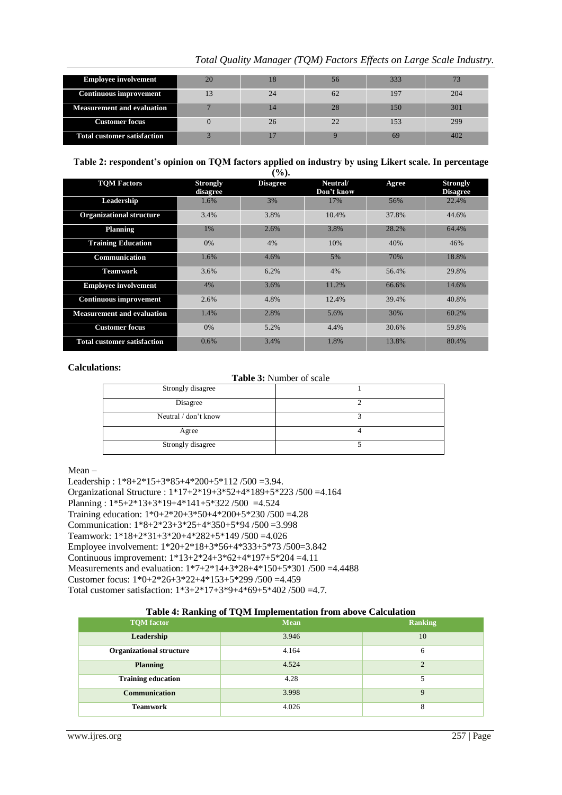|                                    |    |    |    |     | Tomi Quanty manager (TQuI) I actors Effects on Earge Scale mausiry |
|------------------------------------|----|----|----|-----|--------------------------------------------------------------------|
|                                    |    |    |    |     |                                                                    |
| <b>Employee involvement</b>        | 20 | 18 | 56 | 333 |                                                                    |
| <b>Continuous improvement</b>      | 13 | 24 | 62 | 197 | 204                                                                |
| <b>Measurement and evaluation</b>  |    | 14 | 28 | 150 | 301                                                                |
| <b>Customer focus</b>              |    | 26 | 22 | 153 | 299                                                                |
| <b>Total customer satisfaction</b> |    |    |    | 69  | 402                                                                |

# *Total Quality Manager (TQM) Factors Effects on Large Scale Industry.*

**Table 2: respondent's opinion on TQM factors applied on industry by using Likert scale. In percentage**   $(9/6)$ .

| <b>TOM Factors</b>                 | <b>Strongly</b><br>disagree | <b>Disagree</b> | Neutral/<br>Don't know | Agree | <b>Strongly</b><br><b>Disagree</b> |
|------------------------------------|-----------------------------|-----------------|------------------------|-------|------------------------------------|
| Leadership                         | 1.6%                        | 3%              | 17%                    | 56%   | 22.4%                              |
| <b>Organizational structure</b>    | 3.4%                        | 3.8%            | 10.4%                  | 37.8% | 44.6%                              |
| <b>Planning</b>                    | 1%                          | 2.6%            | 3.8%                   | 28.2% | 64.4%                              |
| <b>Training Education</b>          | 0%                          | 4%              | 10%                    | 40%   | 46%                                |
| Communication                      | 1.6%                        | 4.6%            | 5%                     | 70%   | 18.8%                              |
| <b>Teamwork</b>                    | 3.6%                        | 6.2%            | 4%                     | 56.4% | 29.8%                              |
| <b>Employee involvement</b>        | 4%                          | 3.6%            | 11.2%                  | 66.6% | 14.6%                              |
| <b>Continuous improvement</b>      | 2.6%                        | 4.8%            | 12.4%                  | 39.4% | 40.8%                              |
| <b>Measurement and evaluation</b>  | 1.4%                        | 2.8%            | 5.6%                   | 30%   | 60.2%                              |
| <b>Customer focus</b>              | 0%                          | 5.2%            | 4.4%                   | 30.6% | 59.8%                              |
| <b>Total customer satisfaction</b> | 0.6%                        | 3.4%            | 1.8%                   | 13.8% | 80.4%                              |

#### **Calculations:**

**Table 3:** Number of scale

| Strongly disagree    |  |
|----------------------|--|
| Disagree             |  |
| Neutral / don't know |  |
| Agree                |  |
| Strongly disagree    |  |

## Mean –

Leadership : 1\*8+2\*15+3\*85+4\*200+5\*112 /500 =3.94. Organizational Structure : 1\*17+2\*19+3\*52+4\*189+5\*223 /500 =4.164 Planning : 1\*5+2\*13+3\*19+4\*141+5\*322 /500 =4.524 Training education: 1\*0+2\*20+3\*50+4\*200+5\*230 /500 =4.28 Communication: 1\*8+2\*23+3\*25+4\*350+5\*94 /500 =3.998 Teamwork: 1\*18+2\*31+3\*20+4\*282+5\*149 /500 =4.026 Employee involvement: 1\*20+2\*18+3\*56+4\*333+5\*73 /500=3.842 Continuous improvement: 1\*13+2\*24+3\*62+4\*197+5\*204 =4.11 Measurements and evaluation: 1\*7+2\*14+3\*28+4\*150+5\*301 /500 =4.4488 Customer focus: 1\*0+2\*26+3\*22+4\*153+5\*299 /500 =4.459 Total customer satisfaction: 1\*3+2\*17+3\*9+4\*69+5\*402 /500 =4.7.

#### **Table 4: Ranking of TQM Implementation from above Calculation**

| <b>TQM</b> factor               | <b>Mean</b> | Ranking     |
|---------------------------------|-------------|-------------|
| Leadership                      | 3.946       | 10          |
| <b>Organizational structure</b> | 4.164       | 6           |
| <b>Planning</b>                 | 4.524       | $\bigcap$   |
| <b>Training education</b>       | 4.28        |             |
| Communication                   | 3.998       | $\mathbf Q$ |
| <b>Teamwork</b>                 | 4.026       | 8           |